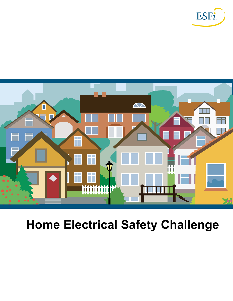



# **Home Electrical Safety Challenge**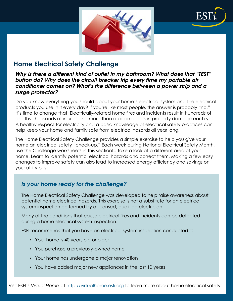

# **Home Electrical Safety Challenge**

#### *Why is there a different kind of outlet in my bathroom? What does that "TEST" button do? Why does the circuit breaker trip every time my portable air conditioner comes on? What's the difference between a power strip and a surge protector?*

Do you know everything you should about your home's electrical system and the electrical products you use in it every day? If you're like most people, the answer is probably "no." It's time to change that. Electrically-related home fires and incidents result in hundreds of deaths, thousands of injuries and more than a billion dollars in property damage each year. A healthy respect for electricity and a basic knowledge of electrical safety practices can help keep your home and family safe from electrical hazards all year long.

The Home Electrical Safety Challenge provides a simple exercise to help you give your home an electrical safety "check-up." Each week during National Electrical Safety Month, use the Challenge worksheets in this sectionto take a look at a different area of your home. Learn to identify potential electrical hazards and correct them. Making a few easy changes to improve safety can also lead to increased energy efficiency and savings on your utility bills.

## *Is your home ready for the challenge?*

The Home Electrical Safety Challenge was developed to help raise awareness about potential home electrical hazards. This exercise is not a substitute for an electrical system inspection performed by a licensed, qualified electrician.

Many of the conditions that cause electrical fires and incidents can be detected during a home electrical system inspection.

ESFI recommends that you have an electrical system inspection conducted if:

- Your home is 40 years old or older
- You purchase a previously-owned home
- Your home has undergone a major renovation
- You have added major new appliances in the last 10 years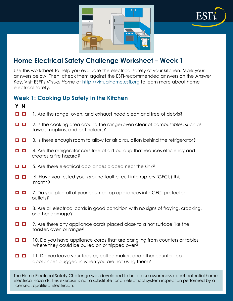

Use this worksheet to help you evaluate the electrical safety of your kitchen. Mark your answers below. Then, check them against the ESFI-recommended answers on the Answer Key. Visit ESFI's *Virtual Home* at http://virtualhome.esfi.org to learn more about home electrical safety.

## **Week 1: Cooking Up Safety in the Kitchen**

 **Y N**

- 1. Are the range, oven, and exhaust hood clean and free of debris?
- $\Box$   $\Box$  2. Is the cooking area around the range/oven clear of combustibles, such as towels, napkins, and pot holders?
- $\Box$   $\Box$  3. Is there enough room to allow for air circulation behind the refrigerator?
- $\Box$   $\Box$  4. Are the refrigerator coils free of dirt buildup that reduces efficiency and creates a fire hazard?
- $\Box$   $\Box$  5. Are there electrical appliances placed near the sink?
- 6. Have you tested your ground fault circuit interrupters (GFCIs) this O 0 month?
- **□ □** 7. Do you plug all of your counter top appliances into GFCI-protected outlets?
- $\Box$   $\Box$  8. Are all electrical cords in good condition with no signs of fraying, cracking, or other damage?
- $\Box$   $\Box$  9. Are there any appliance cords placed close to a hot surface like the toaster, oven or range?
- $\Box$   $\Box$  10. Do you have appliance cords that are dangling from counters or tables where they could be pulled on or tripped over?
- $\Box$   $\Box$  11. Do you leave your toaster, coffee maker, and other counter top appliances plugged in when you are not using them?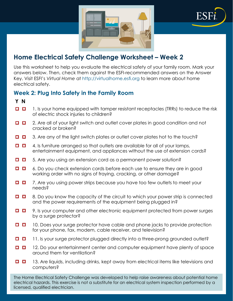

Use this worksheet to help you evaluate the electrical safety of your family room. Mark your answers below. Then, check them against the ESFI-recommended answers on the Answer Key. Visit ESFI's *Virtual Home* at http://virtualhome.esfi.org to learn more about home electrical safety.

## **Week 2: Plug Into Safety in the Family Room**

 **Y N**

- $\Box$   $\Box$  1. Is your home equipped with tamper resistant receptacles (TRRs) to reduce the risk of electric shock injuries to children?
- **□ □** 2. Are all of your light switch and outlet cover plates in good condition and not cracked or broken?
- $\Box$  3. Are any of the light switch plates or outlet cover plates hot to the touch?  $\Box$
- $\Box$   $\Box$  4. Is furniture arranged so that outlets are available for all of your lamps, entertainment equipment, and appliances without the use of extension cords?
- 5. Are you using an extension cord as a permanent power solution?
- $\Box$  6. Do you check extension cords before each use to ensure they are in good working order with no signs of fraying, cracking, or other damage?
- $\Box$   $\Box$  7. Are you using power strips because you have too few outlets to meet your needs?
- $\Box$   $\Box$  8. Do you know the capacity of the circuit to which your power strip is connected and the power requirements of the equipment being plugged in?
- **D** 9. Is your computer and other electronic equipment protected from power surges by a surge protector?
- $\Box$   $\Box$  10. Does your surge protector have cable and phone jacks to provide protection for your phone, fax, modem, cable receiver, and television?
- $\Box$  11. Is your surge protector plugged directly into a three-prong grounded outlet?
- $\Box$  12. Do your entertainment center and computer equipment have plenty of space around them for ventilation?
- $\Box$   $\Box$  13. Are liquids, including drinks, kept away from electrical items like televisions and computers?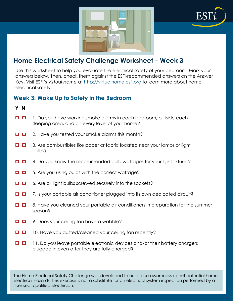



Use this worksheet to help you evaluate the electrical safety of your bedroom. Mark your answers below. Then, check them against the ESFI-recommended answers on the Answer Key. Visit ESFI's *Virtual Home* at http://virtualhome.esfi.org to learn more about home electrical safety.

## **Week 3: Wake Up to Safety in the Bedroom**

#### **Y N**

- $\Box$   $\Box$  1. Do you have working smoke alarms in each bedroom, outside each sleeping area, and on every level of your home?
- $\Box$   $\Box$  2. Have you tested your smoke alarms this month?
- $\Box$   $\Box$  3. Are combustibles like paper or fabric located near your lamps or light bulbs?
- $\Box$  4. Do you know the recommended bulb wattages for your light fixtures?  $\Box$
- o.  $\Box$  5. Are you using bulbs with the correct wattage?
- o. ■ 6. Are all light bulbs screwed securely into the sockets?
- $\Box$   $\Box$  7. Is your portable air conditioner plugged into its own dedicated circuit?
- $\Box$   $\Box$  8. Have you cleaned your portable air conditioners in preparation for the summer season?
- **D** 9. Does your ceiling fan have a wobble?  $\Box$
- 10. Have you dusted/cleaned your ceiling fan recently?  $\Box$
- $\Box$   $\Box$  11. Do you leave portable electronic devices and/or their battery chargers plugged in even after they are fully charged?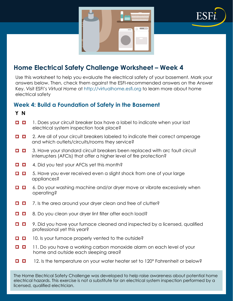



Use this worksheet to help you evaluate the electrical safety of your basement. Mark your answers below. Then, check them against the ESFI-recommended answers on the Answer Key. Visit ESFI's *Virtual Home* at http://virtualhome.esfi.org to learn more about home electrical safety

## **Week 4: Build a Foundation of Safety in the Basement**

 **Y N**

- $\Box$   $\Box$  1. Does your circuit breaker box have a label to indicate when your last electrical system inspection took place?
- $\Box$   $\Box$  2. Are all of your circuit breakers labeled to indicate their correct amperage and which outlets/circuits/rooms they service?
- $\Box$  3. Have your standard circuit breakers been replaced with arc fault circuit interrupters (AFCIs) that offer a higher level of fire protection?
- $\Box$  $\Box$  4. Did you test your AFCIs yet this month?
- $\Box$   $\Box$  5. Have you ever received even a slight shock from one of your large appliances?
- **□ □** 6. Do your washing machine and/or dryer move or vibrate excessively when operating?
- $\Box$   $\Box$  7. Is the area around your dryer clean and free of clutter?
- $\Box$  8. Do you clean your dryer lint filter after each load?
- $\Box$  9. Did you have your furnace cleaned and inspected by a licensed, qualified professional yet this year?
- $\Box$   $\Box$  10. Is your furnace properly vented to the outside?
- $\Box$  11. Do you have a working carbon monoxide alarm on each level of your home and outside each sleeping area?
- $\Box$   $\Box$ 12. Is the temperature on your water heater set to 120° Fahrenheit or below?